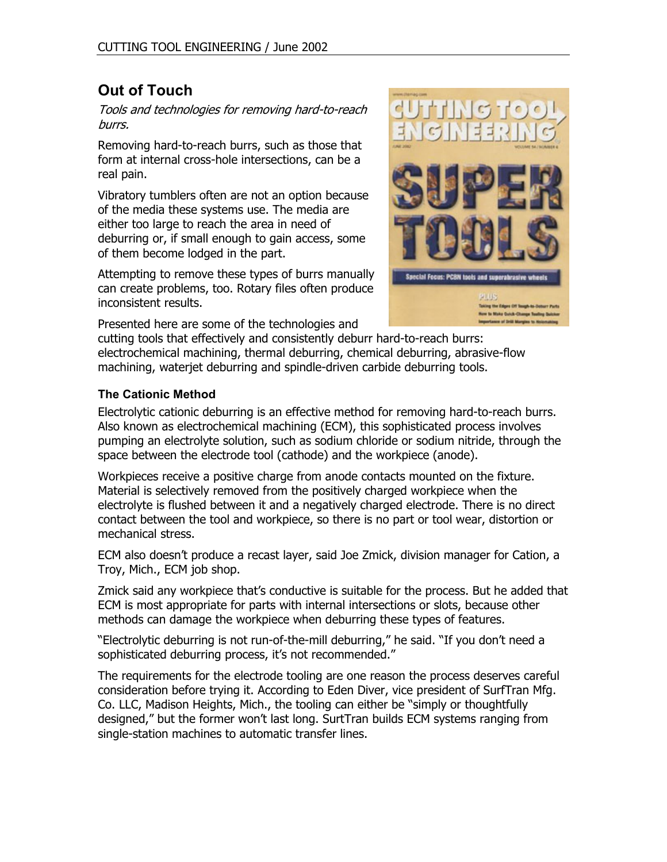# **Out of Touch**

Tools and technologies for removing hard-to-reach burrs.

Removing hard-to-reach burrs, such as those that form at internal cross-hole intersections, can be a real pain.

Vibratory tumblers often are not an option because of the media these systems use. The media are either too large to reach the area in need of deburring or, if small enough to gain access, some of them become lodged in the part.

Attempting to remove these types of burrs manually can create problems, too. Rotary files often produce inconsistent results.

Presented here are some of the technologies and



cutting tools that effectively and consistently deburr hard-to-reach burrs: electrochemical machining, thermal deburring, chemical deburring, abrasive-flow machining, waterjet deburring and spindle-driven carbide deburring tools.

# **The Cationic Method**

Electrolytic cationic deburring is an effective method for removing hard-to-reach burrs. Also known as electrochemical machining (ECM), this sophisticated process involves pumping an electrolyte solution, such as sodium chloride or sodium nitride, through the space between the electrode tool (cathode) and the workpiece (anode).

Workpieces receive a positive charge from anode contacts mounted on the fixture. Material is selectively removed from the positively charged workpiece when the electrolyte is flushed between it and a negatively charged electrode. There is no direct contact between the tool and workpiece, so there is no part or tool wear, distortion or mechanical stress.

ECM also doesn't produce a recast layer, said Joe Zmick, division manager for Cation, a Troy, Mich., ECM job shop.

Zmick said any workpiece that's conductive is suitable for the process. But he added that ECM is most appropriate for parts with internal intersections or slots, because other methods can damage the workpiece when deburring these types of features.

"Electrolytic deburring is not run-of-the-mill deburring," he said. "If you don't need a sophisticated deburring process, it's not recommended."

The requirements for the electrode tooling are one reason the process deserves careful consideration before trying it. According to Eden Diver, vice president of SurfTran Mfg. Co. LLC, Madison Heights, Mich., the tooling can either be "simply or thoughtfully designed," but the former won't last long. SurtTran builds ECM systems ranging from single-station machines to automatic transfer lines.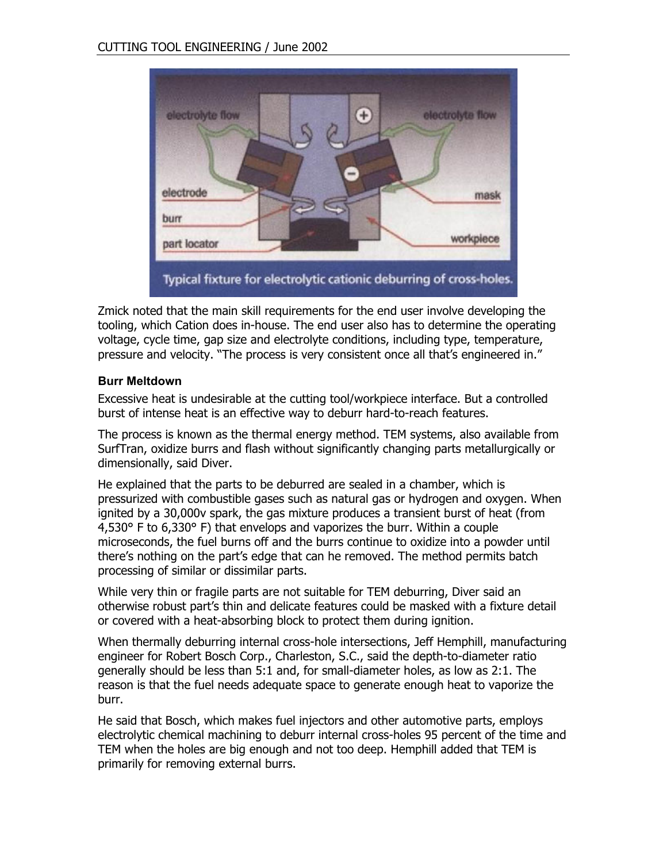

Zmick noted that the main skill requirements for the end user involve developing the tooling, which Cation does in-house. The end user also has to determine the operating voltage, cycle time, gap size and electrolyte conditions, including type, temperature, pressure and velocity. "The process is very consistent once all that's engineered in."

## **Burr Meltdown**

Excessive heat is undesirable at the cutting tool/workpiece interface. But a controlled burst of intense heat is an effective way to deburr hard-to-reach features.

The process is known as the thermal energy method. TEM systems, also available from SurfTran, oxidize burrs and flash without significantly changing parts metallurgically or dimensionally, said Diver.

He explained that the parts to be deburred are sealed in a chamber, which is pressurized with combustible gases such as natural gas or hydrogen and oxygen. When ignited by a 30,000v spark, the gas mixture produces a transient burst of heat (from 4,530° F to 6,330° F) that envelops and vaporizes the burr. Within a couple microseconds, the fuel burns off and the burrs continue to oxidize into a powder until there's nothing on the part's edge that can he removed. The method permits batch processing of similar or dissimilar parts.

While very thin or fragile parts are not suitable for TEM deburring, Diver said an otherwise robust part's thin and delicate features could be masked with a fixture detail or covered with a heat-absorbing block to protect them during ignition.

When thermally deburring internal cross-hole intersections, Jeff Hemphill, manufacturing engineer for Robert Bosch Corp., Charleston, S.C., said the depth-to-diameter ratio generally should be less than 5:1 and, for small-diameter holes, as low as 2:1. The reason is that the fuel needs adequate space to generate enough heat to vaporize the burr.

He said that Bosch, which makes fuel injectors and other automotive parts, employs electrolytic chemical machining to deburr internal cross-holes 95 percent of the time and TEM when the holes are big enough and not too deep. Hemphill added that TEM is primarily for removing external burrs.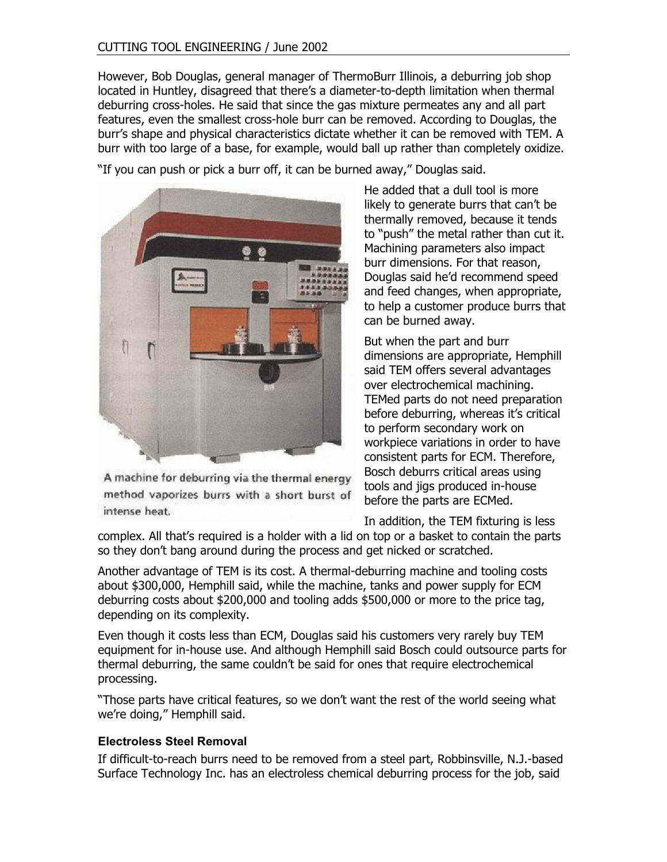However, Bob Douglas, general manager of ThermoBurr Illinois, a deburring job shop located in Huntley, disagreed that there's a diameter-to-depth limitation when thermal deburring cross-holes. He said that since the gas mixture permeates any and all part features, even the smallest cross-hole burr can be removed. According to Douglas, the burr's shape and physical characteristics dictate whether it can be removed with TEM. A burr with too large of a base, for example, would ball up rather than completely oxidize.

"If you can push or pick a burr off, it can be burned away," Douglas said.



A machine for deburring via the thermal energy method vaporizes burrs with a short burst of intense heat.

He added that a dull tool is more likely to generate burrs that can't be thermally removed, because it tends to "push" the metal rather than cut it. Machining parameters also impact burr dimensions. For that reason, Douglas said he'd recommend speed and feed changes, when appropriate, to help a customer produce burrs that can be burned away.

But when the part and burr dimensions are appropriate, Hemphill said TEM offers several advantages over electrochemical machining. TEMed parts do not need preparation before deburring, whereas it's critical to perform secondary work on workpiece variations in order to have consistent parts for ECM. Therefore, Bosch deburrs critical areas using tools and jigs produced in-house before the parts are ECMed.

In addition, the TEM fixturing is less

complex. All that's required is a holder with a lid on top or a basket to contain the parts so they don't bang around during the process and get nicked or scratched.

Another advantage of TEM is its cost. A thermal-deburring machine and tooling costs about \$300,000, Hemphill said, while the machine, tanks and power supply for ECM deburring costs about \$200,000 and tooling adds \$500,000 or more to the price tag, depending on its complexity.

Even though it costs less than ECM, Douglas said his customers very rarely buy TEM equipment for in-house use. And although Hemphill said Bosch could outsource parts for thermal deburring, the same couldn't be said for ones that require electrochemical processing.

"Those parts have critical features, so we don't want the rest of the world seeing what we're doing," Hemphill said.

## **Electroless Steel Removal**

If difficult-to-reach burrs need to be removed from a steel part, Robbinsville, N.J.-based Surface Technology Inc. has an electroless chemical deburring process for the job, said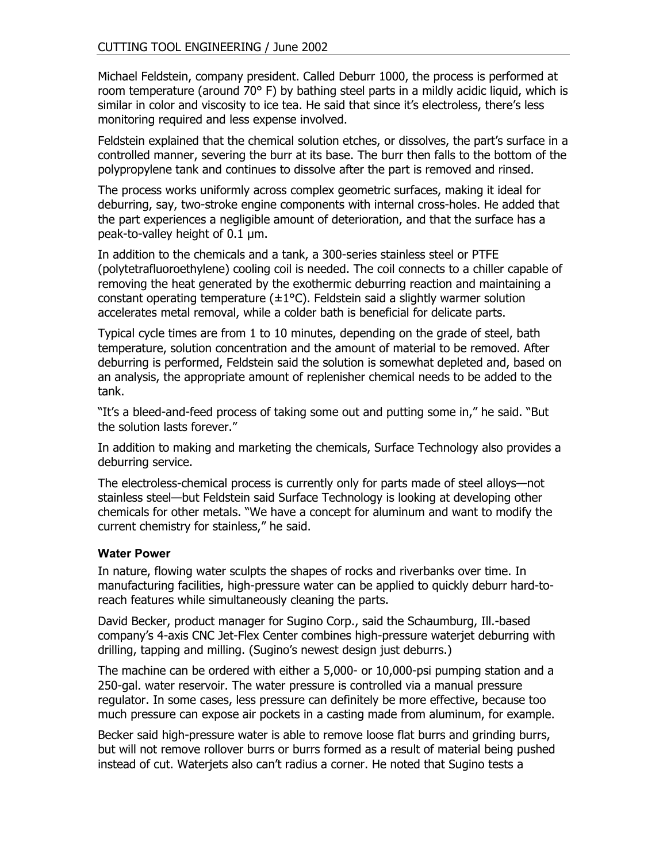Michael Feldstein, company president. Called Deburr 1000, the process is performed at room temperature (around 70° F) by bathing steel parts in a mildly acidic liquid, which is similar in color and viscosity to ice tea. He said that since it's electroless, there's less monitoring required and less expense involved.

Feldstein explained that the chemical solution etches, or dissolves, the part's surface in a controlled manner, severing the burr at its base. The burr then falls to the bottom of the polypropylene tank and continues to dissolve after the part is removed and rinsed.

The process works uniformly across complex geometric surfaces, making it ideal for deburring, say, two-stroke engine components with internal cross-holes. He added that the part experiences a negligible amount of deterioration, and that the surface has a peak-to-valley height of 0.1 µm.

In addition to the chemicals and a tank, a 300-series stainless steel or PTFE (polytetrafluoroethylene) cooling coil is needed. The coil connects to a chiller capable of removing the heat generated by the exothermic deburring reaction and maintaining a constant operating temperature  $(\pm 1^{\circ}C)$ . Feldstein said a slightly warmer solution accelerates metal removal, while a colder bath is beneficial for delicate parts.

Typical cycle times are from 1 to 10 minutes, depending on the grade of steel, bath temperature, solution concentration and the amount of material to be removed. After deburring is performed, Feldstein said the solution is somewhat depleted and, based on an analysis, the appropriate amount of replenisher chemical needs to be added to the tank.

"It's a bleed-and-feed process of taking some out and putting some in," he said. "But the solution lasts forever."

In addition to making and marketing the chemicals, Surface Technology also provides a deburring service.

The electroless-chemical process is currently only for parts made of steel alloys—not stainless steel—but Feldstein said Surface Technology is looking at developing other chemicals for other metals. "We have a concept for aluminum and want to modify the current chemistry for stainless," he said.

#### **Water Power**

In nature, flowing water sculpts the shapes of rocks and riverbanks over time. In manufacturing facilities, high-pressure water can be applied to quickly deburr hard-toreach features while simultaneously cleaning the parts.

David Becker, product manager for Sugino Corp., said the Schaumburg, Ill.-based company's 4-axis CNC Jet-Flex Center combines high-pressure waterjet deburring with drilling, tapping and milling. (Sugino's newest design just deburrs.)

The machine can be ordered with either a 5,000- or 10,000-psi pumping station and a 250-gal. water reservoir. The water pressure is controlled via a manual pressure regulator. In some cases, less pressure can definitely be more effective, because too much pressure can expose air pockets in a casting made from aluminum, for example.

Becker said high-pressure water is able to remove loose flat burrs and grinding burrs, but will not remove rollover burrs or burrs formed as a result of material being pushed instead of cut. Waterjets also can't radius a corner. He noted that Sugino tests a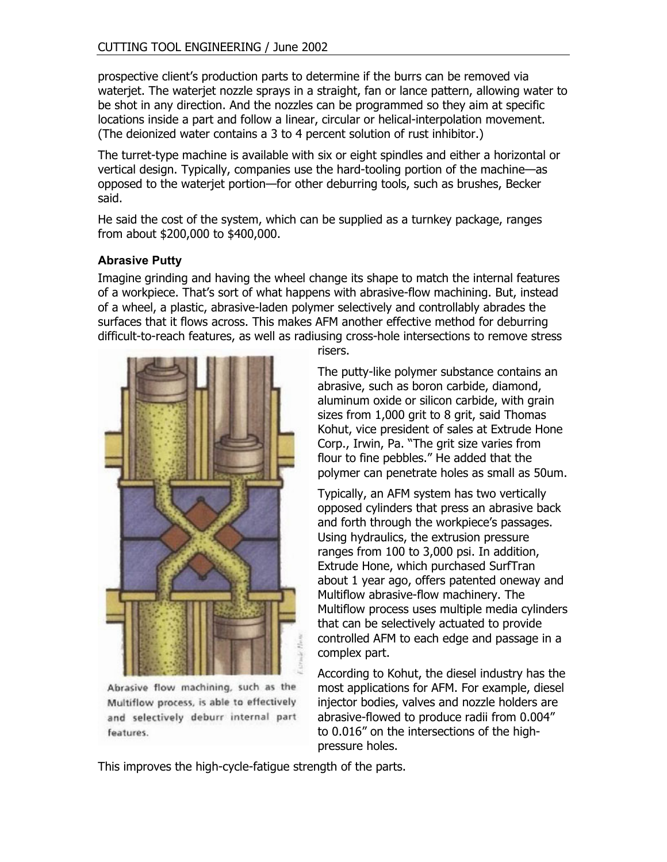prospective client's production parts to determine if the burrs can be removed via waterjet. The waterjet nozzle sprays in a straight, fan or lance pattern, allowing water to be shot in any direction. And the nozzles can be programmed so they aim at specific locations inside a part and follow a linear, circular or helical-interpolation movement. (The deionized water contains a 3 to 4 percent solution of rust inhibitor.)

The turret-type machine is available with six or eight spindles and either a horizontal or vertical design. Typically, companies use the hard-tooling portion of the machine—as opposed to the waterjet portion—for other deburring tools, such as brushes, Becker said.

He said the cost of the system, which can be supplied as a turnkey package, ranges from about \$200,000 to \$400,000.

#### **Abrasive Putty**

Imagine grinding and having the wheel change its shape to match the internal features of a workpiece. That's sort of what happens with abrasive-flow machining. But, instead of a wheel, a plastic, abrasive-laden polymer selectively and controllably abrades the surfaces that it flows across. This makes AFM another effective method for deburring difficult-to-reach features, as well as radiusing cross-hole intersections to remove stress



Abrasive flow machining, such as the Multiflow process, is able to effectively and selectively deburr internal part features.

risers.

The putty-like polymer substance contains an abrasive, such as boron carbide, diamond, aluminum oxide or silicon carbide, with grain sizes from 1,000 grit to 8 grit, said Thomas Kohut, vice president of sales at Extrude Hone Corp., Irwin, Pa. "The grit size varies from flour to fine pebbles." He added that the polymer can penetrate holes as small as 50um.

Typically, an AFM system has two vertically opposed cylinders that press an abrasive back and forth through the workpiece's passages. Using hydraulics, the extrusion pressure ranges from 100 to 3,000 psi. In addition, Extrude Hone, which purchased SurfTran about 1 year ago, offers patented oneway and Multiflow abrasive-flow machinery. The Multiflow process uses multiple media cylinders that can be selectively actuated to provide controlled AFM to each edge and passage in a complex part.

According to Kohut, the diesel industry has the most applications for AFM. For example, diesel injector bodies, valves and nozzle holders are abrasive-flowed to produce radii from 0.004" to 0.016" on the intersections of the highpressure holes.

This improves the high-cycle-fatigue strength of the parts.